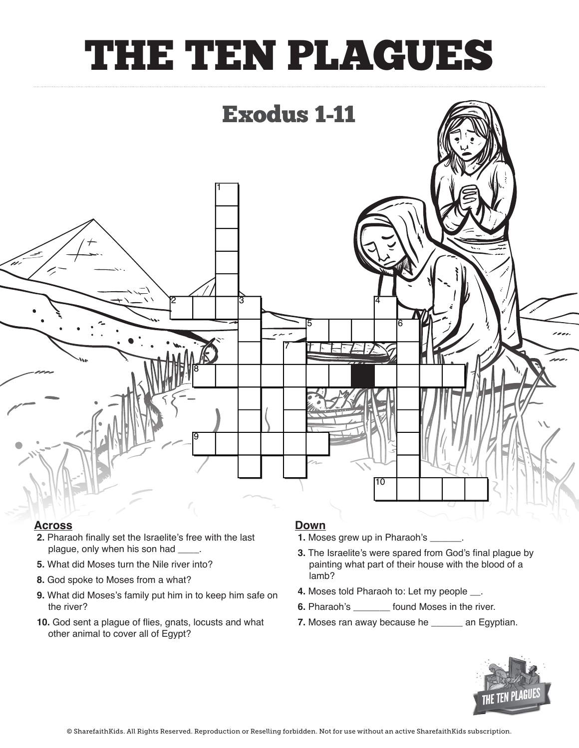## THE TEN PLAGUES



### **Across Across**

- **2.** Pharaoh finally set the Israelite's free with the last **2.** Pharaoh finally set the Israelite's free with the last plague, only when his son had **\_\_\_\_**.
- **5.** What did Moses turn the Nile river into?
- **8.** God spoke to Moses from a what?
- **9.** What did Moses's family put him in to keep him safe on the river? Bush in proposed<br>Bush in altrall in ilat did Moses's family put him in to keep him safe on<br>A DIP A DIP A DIP A DIP A DIP A DIP A DIP A DIP A DIP A DIP A DIP A DIP A DIP A D on the river?<br>.
- **10.** God sent a plague of flies, gnats, locusts and what other animal to cover all of Egypt? **10.** God sent a plague of flies, gnats, locusts and what

#### **Down**

- **1.** Moses grew up in Pharaoh's \_\_\_\_\_\_.
- **3.** The Israelite's were spared from God's final plague by **3.** The Israelite's were spared from God's final plague painting what part of their house with the blood of a lamb?
- **4.** Moses told Pharaoh to: Let my people  $\_\_$ .
- **6.** Pharaoh's **\_\_\_\_\_\_\_** found Moses in the river. **8. <u>Moses in</u> found moses in the five.**<br> **C**
- **7.** Moses ran away because he **\_\_\_\_\_\_** an Egyptian.